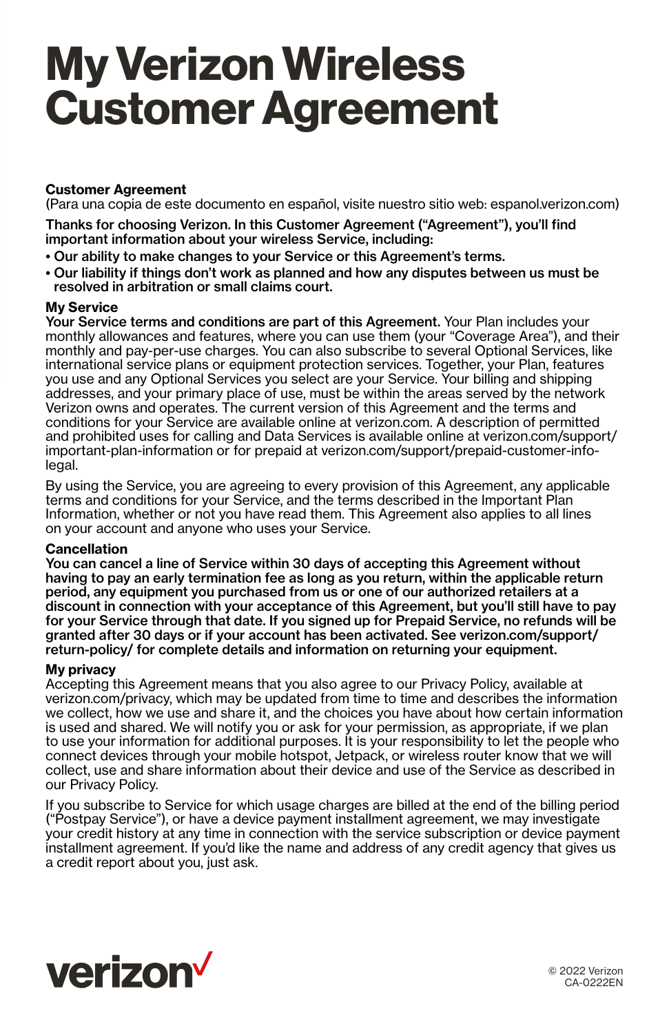# **My Verizon Wireless Customer Agreement**

# **Customer Agreement**

(Para una copia de este documento en español, visite nuestro sitio web: espanol.verizon.com)

Thanks for choosing Verizon. In this Customer Agreement ("Agreement"), you'll find important information about your wireless Service, including:

- Our ability to make changes to your Service or this Agreement's terms.
- Our liability if things don't work as planned and how any disputes between us must be resolved in arbitration or small claims court.

#### **My Service**

Your Service terms and conditions are part of this Agreement. Your Plan includes your monthly allowances and features, where you can use them (your "Coverage Area"), and their monthly and pay-per-use charges. You can also subscribe to several Optional Services, like international service plans or equipment protection services. Together, your Plan, features you use and any Optional Services you select are your Service. Your billing and shipping addresses, and your primary place of use, must be within the areas served by the network Verizon owns and operates. The current version of this Agreement and the terms and conditions for your Service are available online at verizon.com. A description of permitted and prohibited uses for calling and Data Services is available online at verizon.com/support/ important-plan-information or for prepaid at verizon.com/support/prepaid-customer-infolegal.

By using the Service, you are agreeing to every provision of this Agreement, any applicable terms and conditions for your Service, and the terms described in the Important Plan Information, whether or not you have read them. This Agreement also applies to all lines on your account and anyone who uses your Service.

## **Cancellation**

You can cancel a line of Service within 30 days of accepting this Agreement without having to pay an early termination fee as long as you return, within the applicable return period, any equipment you purchased from us or one of our authorized retailers at a discount in connection with your acceptance of this Agreement, but you'll still have to pay for your Service through that date. If you signed up for Prepaid Service, no refunds will be granted after 30 days or if your account has been activated. See verizon.com/support/ return-policy/ for complete details and information on returning your equipment.

## **My privacy**

Accepting this Agreement means that you also agree to our Privacy Policy, available at verizon.com/privacy, which may be updated from time to time and describes the information we collect, how we use and share it, and the choices you have about how certain information is used and shared. We will notify you or ask for your permission, as appropriate, if we plan to use your information for additional purposes. It is your responsibility to let the people who connect devices through your mobile hotspot, Jetpack, or wireless router know that we will collect, use and share information about their device and use of the Service as described in our Privacy Policy.

If you subscribe to Service for which usage charges are billed at the end of the billing period ("Postpay Service"), or have a device payment installment agreement, we may investigate your credit history at any time in connection with the service subscription or device payment installment agreement. If you'd like the name and address of any credit agency that gives us a credit report about you, just ask.



© 2022 Verizon CA-0222EN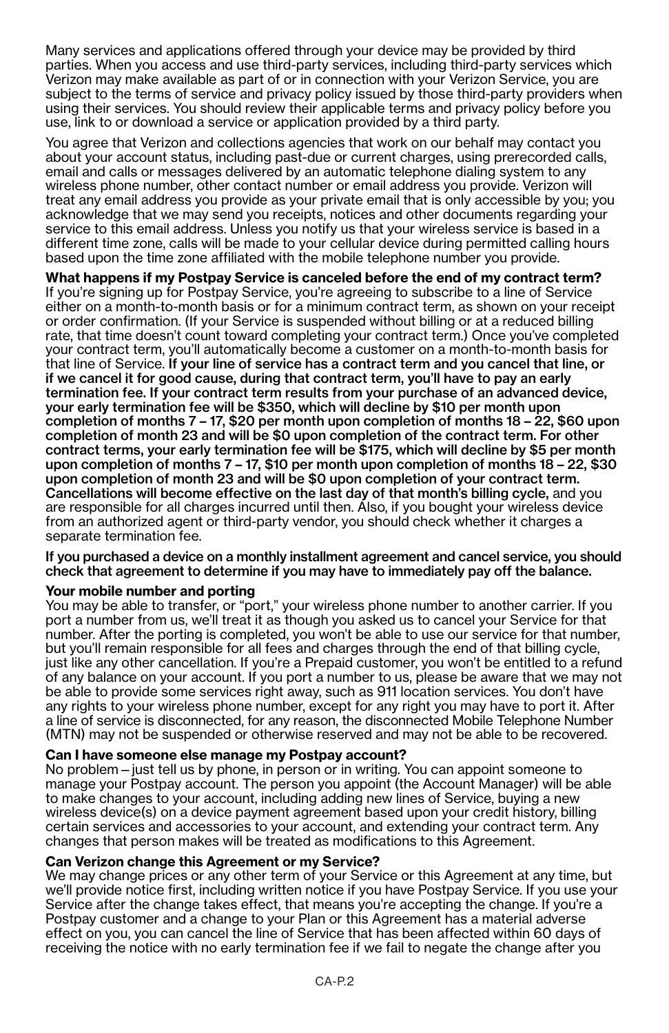Many services and applications offered through your device may be provided by third parties. When you access and use third-party services, including third-party services which Verizon may make available as part of or in connection with your Verizon Service, you are subject to the terms of service and privacy policy issued by those third-party providers when using their services. You should review their applicable terms and privacy policy before you use, link to or download a service or application provided by a third party.

You agree that Verizon and collections agencies that work on our behalf may contact you about your account status, including past-due or current charges, using prerecorded calls, email and calls or messages delivered by an automatic telephone dialing system to any wireless phone number, other contact number or email address you provide. Verizon will treat any email address you provide as your private email that is only accessible by you; you acknowledge that we may send you receipts, notices and other documents regarding your service to this email address. Unless you notify us that your wireless service is based in a different time zone, calls will be made to your cellular device during permitted calling hours based upon the time zone affiliated with the mobile telephone number you provide.

**What happens if my Postpay Service is canceled before the end of my contract term?** If you're signing up for Postpay Service, you're agreeing to subscribe to a line of Service either on a month-to-month basis or for a minimum contract term, as shown on your receipt or order confirmation. (If your Service is suspended without billing or at a reduced billing rate, that time doesn't count toward completing your contract term.) Once you've completed your contract term, you'll automatically become a customer on a month-to-month basis for that line of Service. If your line of service has a contract term and you cancel that line, or if we cancel it for good cause, during that contract term, you'll have to pay an early termination fee. If your contract term results from your purchase of an advanced device, your early termination fee will be \$350, which will decline by \$10 per month upon completion of months 7 – 17, \$20 per month upon completion of months 18 – 22, \$60 upon completion of month 23 and will be \$0 upon completion of the contract term. For other contract terms, your early termination fee will be \$175, which will decline by \$5 per month upon completion of months 7 – 17, \$10 per month upon completion of months 18 – 22, \$30 upon completion of month 23 and will be \$0 upon completion of your contract term. Cancellations will become effective on the last day of that month's billing cycle, and you are responsible for all charges incurred until then. Also, if you bought your wireless device from an authorized agent or third-party vendor, you should check whether it charges a separate termination fee.

#### If you purchased a device on a monthly installment agreement and cancel service, you should check that agreement to determine if you may have to immediately pay off the balance.

# **Your mobile number and porting**

You may be able to transfer, or "port," your wireless phone number to another carrier. If you port a number from us, we'll treat it as though you asked us to cancel your Service for that number. After the porting is completed, you won't be able to use our service for that number, but you'll remain responsible for all fees and charges through the end of that billing cycle, just like any other cancellation. If you're a Prepaid customer, you won't be entitled to a refund of any balance on your account. If you port a number to us, please be aware that we may not be able to provide some services right away, such as 911 location services. You don't have any rights to your wireless phone number, except for any right you may have to port it. After a line of service is disconnected, for any reason, the disconnected Mobile Telephone Number (MTN) may not be suspended or otherwise reserved and may not be able to be recovered.

# **Can I have someone else manage my Postpay account?**

No problem—just tell us by phone, in person or in writing. You can appoint someone to manage your Postpay account. The person you appoint (the Account Manager) will be able to make changes to your account, including adding new lines of Service, buying a new wireless device(s) on a device payment agreement based upon your credit history, billing certain services and accessories to your account, and extending your contract term. Any changes that person makes will be treated as modifications to this Agreement.

## **Can Verizon change this Agreement or my Service?**

We may change prices or any other term of your Service or this Agreement at any time, but we'll provide notice first, including written notice if you have Postpay Service. If you use your Service after the change takes effect, that means you're accepting the change. If you're a Postpay customer and a change to your Plan or this Agreement has a material adverse effect on you, you can cancel the line of Service that has been affected within 60 days of receiving the notice with no early termination fee if we fail to negate the change after you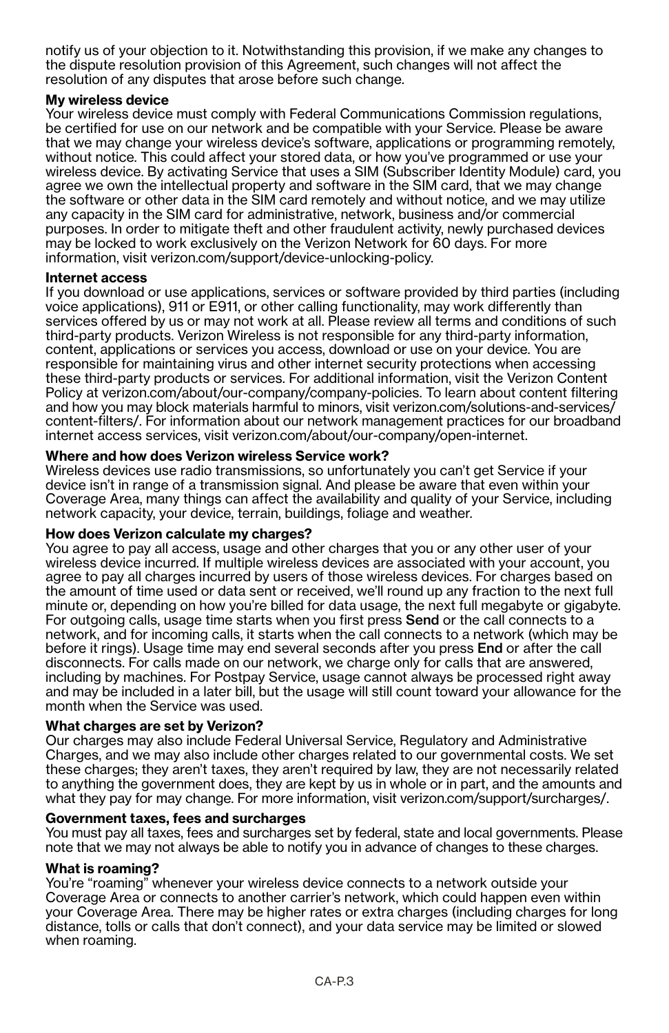notify us of your objection to it. Notwithstanding this provision, if we make any changes to the dispute resolution provision of this Agreement, such changes will not affect the resolution of any disputes that arose before such change.

## **My wireless device**

Your wireless device must comply with Federal Communications Commission regulations, be certified for use on our network and be compatible with your Service. Please be aware that we may change your wireless device's software, applications or programming remotely, without notice. This could affect your stored data, or how you've programmed or use your wireless device. By activating Service that uses a SIM (Subscriber Identity Module) card, you agree we own the intellectual property and software in the SIM card, that we may change the software or other data in the SIM card remotely and without notice, and we may utilize any capacity in the SIM card for administrative, network, business and/or commercial purposes. In order to mitigate theft and other fraudulent activity, newly purchased devices may be locked to work exclusively on the Verizon Network for 60 days. For more information, visit verizon.com/support/device-unlocking-policy.

## **Internet access**

If you download or use applications, services or software provided by third parties (including voice applications), 911 or E911, or other calling functionality, may work differently than services offered by us or may not work at all. Please review all terms and conditions of such third-party products. Verizon Wireless is not responsible for any third-party information, content, applications or services you access, download or use on your device. You are responsible for maintaining virus and other internet security protections when accessing these third-party products or services. For additional information, visit the Verizon Content Policy at verizon.com/about/our-company/company-policies. To learn about content filtering and how you may block materials harmful to minors, visit verizon.com/solutions-and-services/ content-filters/. For information about our network management practices for our broadband internet access services, visit verizon.com/about/our-company/open-internet.

## **Where and how does Verizon wireless Service work?**

Wireless devices use radio transmissions, so unfortunately you can't get Service if your device isn't in range of a transmission signal. And please be aware that even within your Coverage Area, many things can affect the availability and quality of your Service, including network capacity, your device, terrain, buildings, foliage and weather.

## **How does Verizon calculate my charges?**

You agree to pay all access, usage and other charges that you or any other user of your wireless device incurred. If multiple wireless devices are associated with your account, you agree to pay all charges incurred by users of those wireless devices. For charges based on the amount of time used or data sent or received, we'll round up any fraction to the next full minute or, depending on how you're billed for data usage, the next full megabyte or gigabyte. For outgoing calls, usage time starts when you first press Send or the call connects to a network, and for incoming calls, it starts when the call connects to a network (which may be before it rings). Usage time may end several seconds after you press End or after the call disconnects. For calls made on our network, we charge only for calls that are answered, including by machines. For Postpay Service, usage cannot always be processed right away and may be included in a later bill, but the usage will still count toward your allowance for the month when the Service was used.

## **What charges are set by Verizon?**

Our charges may also include Federal Universal Service, Regulatory and Administrative Charges, and we may also include other charges related to our governmental costs. We set these charges; they aren't taxes, they aren't required by law, they are not necessarily related to anything the government does, they are kept by us in whole or in part, and the amounts and what they pay for may change. For more information, visit verizon.com/support/surcharges/.

## **Government taxes, fees and surcharges**

You must pay all taxes, fees and surcharges set by federal, state and local governments. Please note that we may not always be able to notify you in advance of changes to these charges.

#### **What is roaming?**

You're "roaming" whenever your wireless device connects to a network outside your Coverage Area or connects to another carrier's network, which could happen even within your Coverage Area. There may be higher rates or extra charges (including charges for long distance, tolls or calls that don't connect), and your data service may be limited or slowed when roaming.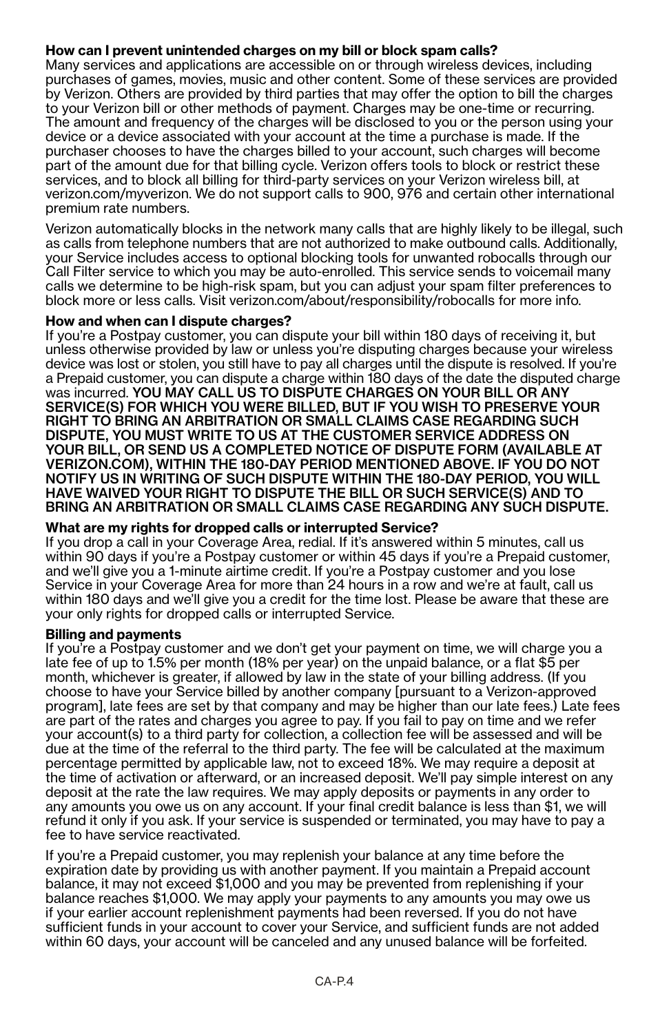## **How can I prevent unintended charges on my bill or block spam calls?**

Many services and applications are accessible on or through wireless devices, including purchases of games, movies, music and other content. Some of these services are provided by Verizon. Others are provided by third parties that may offer the option to bill the charges to your Verizon bill or other methods of payment. Charges may be one-time or recurring. The amount and frequency of the charges will be disclosed to you or the person using your device or a device associated with your account at the time a purchase is made. If the purchaser chooses to have the charges billed to your account, such charges will become part of the amount due for that billing cycle. Verizon offers tools to block or restrict these services, and to block all billing for third-party services on your Verizon wireless bill, at verizon.com/myverizon. We do not support calls to 900, 976 and certain other international premium rate numbers.

Verizon automatically blocks in the network many calls that are highly likely to be illegal, such as calls from telephone numbers that are not authorized to make outbound calls. Additionally, your Service includes access to optional blocking tools for unwanted robocalls through our Call Filter service to which you may be auto-enrolled. This service sends to voicemail many calls we determine to be high-risk spam, but you can adjust your spam filter preferences to block more or less calls. Visit verizon.com/about/responsibility/robocalls for more info.

## **How and when can I dispute charges?**

If you're a Postpay customer, you can dispute your bill within 180 days of receiving it, but unless otherwise provided by law or unless you're disputing charges because your wireless device was lost or stolen, you still have to pay all charges until the dispute is resolved. If you're a Prepaid customer, you can dispute a charge within 180 days of the date the disputed charge was incurred. YOU MAY CALL US TO DISPUTE CHARGES ON YOUR BILL OR ANY SERVICE(S) FOR WHICH YOU WERE BILLED, BUT IF YOU WISH TO PRESERVE YOUR RIGHT TO BRING AN ARBITRATION OR SMALL CLAIMS CASE REGARDING SUCH DISPUTE, YOU MUST WRITE TO US AT THE CUSTOMER SERVICE ADDRESS ON YOUR BILL, OR SEND US A COMPLETED NOTICE OF DISPUTE FORM (AVAILABLE AT VERIZON.COM), WITHIN THE 180-DAY PERIOD MENTIONED ABOVE. IF YOU DO NOT NOTIFY US IN WRITING OF SUCH DISPUTE WITHIN THE 180-DAY PERIOD, YOU WILL HAVE WAIVED YOUR RIGHT TO DISPUTE THE BILL OR SUCH SERVICE(S) AND TO BRING AN ARBITRATION OR SMALL CLAIMS CASE REGARDING ANY SUCH DISPUTE.

## **What are my rights for dropped calls or interrupted Service?**

If you drop a call in your Coverage Area, redial. If it's answered within 5 minutes, call us within 90 days if you're a Postpay customer or within 45 days if you're a Prepaid customer, and we'll give you a 1-minute airtime credit. If you're a Postpay customer and you lose Service in your Coverage Area for more than 24 hours in a row and we're at fault, call us within 180 days and we'll give you a credit for the time lost. Please be aware that these are your only rights for dropped calls or interrupted Service.

#### **Billing and payments**

If you're a Postpay customer and we don't get your payment on time, we will charge you a late fee of up to 1.5% per month (18% per year) on the unpaid balance, or a flat \$5 per month, whichever is greater, if allowed by law in the state of your billing address. (If you choose to have your Service billed by another company [pursuant to a Verizon-approved program], late fees are set by that company and may be higher than our late fees.) Late fees are part of the rates and charges you agree to pay. If you fail to pay on time and we refer your account(s) to a third party for collection, a collection fee will be assessed and will be due at the time of the referral to the third party. The fee will be calculated at the maximum percentage permitted by applicable law, not to exceed 18%. We may require a deposit at the time of activation or afterward, or an increased deposit. We'll pay simple interest on any deposit at the rate the law requires. We may apply deposits or payments in any order to any amounts you owe us on any account. If your final credit balance is less than \$1, we will refund it only if you ask. If your service is suspended or terminated, you may have to pay a fee to have service reactivated.

If you're a Prepaid customer, you may replenish your balance at any time before the expiration date by providing us with another payment. If you maintain a Prepaid account balance, it may not exceed \$1,000 and you may be prevented from replenishing if your balance reaches \$1,000. We may apply your payments to any amounts you may owe us if your earlier account replenishment payments had been reversed. If you do not have sufficient funds in your account to cover your Service, and sufficient funds are not added within 60 days, your account will be canceled and any unused balance will be forfeited.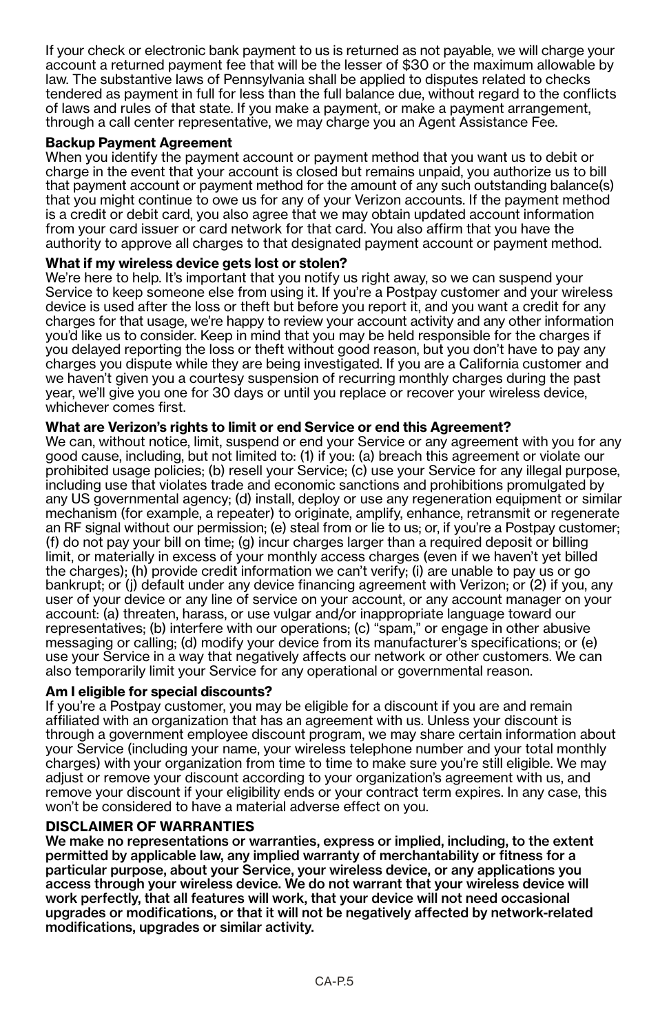If your check or electronic bank payment to us is returned as not payable, we will charge your account a returned payment fee that will be the lesser of \$30 or the maximum allowable by law. The substantive laws of Pennsylvania shall be applied to disputes related to checks tendered as payment in full for less than the full balance due, without regard to the conflicts of laws and rules of that state. If you make a payment, or make a payment arrangement, through a call center representative, we may charge you an Agent Assistance Fee.

## **Backup Payment Agreement**

When you identify the payment account or payment method that you want us to debit or charge in the event that your account is closed but remains unpaid, you authorize us to bill that payment account or payment method for the amount of any such outstanding balance(s) that you might continue to owe us for any of your Verizon accounts. If the payment method is a credit or debit card, you also agree that we may obtain updated account information from your card issuer or card network for that card. You also affirm that you have the authority to approve all charges to that designated payment account or payment method.

## **What if my wireless device gets lost or stolen?**

We're here to help. It's important that you notify us right away, so we can suspend your Service to keep someone else from using it. If you're a Postpay customer and your wireless device is used after the loss or theft but before you report it, and you want a credit for any charges for that usage, we're happy to review your account activity and any other information you'd like us to consider. Keep in mind that you may be held responsible for the charges if you delayed reporting the loss or theft without good reason, but you don't have to pay any charges you dispute while they are being investigated. If you are a California customer and we haven't given you a courtesy suspension of recurring monthly charges during the past year, we'll give you one for 30 days or until you replace or recover your wireless device, whichever comes first.

## **What are Verizon's rights to limit or end Service or end this Agreement?**

We can, without notice, limit, suspend or end your Service or any agreement with you for any good cause, including, but not limited to: (1) if you: (a) breach this agreement or violate our prohibited usage policies; (b) resell your Service; (c) use your Service for any illegal purpose, including use that violates trade and economic sanctions and prohibitions promulgated by any US governmental agency; (d) install, deploy or use any regeneration equipment or similar mechanism (for example, a repeater) to originate, amplify, enhance, retransmit or regenerate an RF signal without our permission; (e) steal from or lie to us; or, if you're a Postpay customer; (f) do not pay your bill on time; (g) incur charges larger than a required deposit or billing limit, or materially in excess of your monthly access charges (even if we haven't yet billed the charges); (h) provide credit information we can't verify; (i) are unable to pay us or go bankrupt; or (j) default under any device financing agreement with Verizon; or (2) if you, any user of your device or any line of service on your account, or any account manager on your account: (a) threaten, harass, or use vulgar and/or inappropriate language toward our representatives; (b) interfere with our operations; (c) "spam," or engage in other abusive messaging or calling; (d) modify your device from its manufacturer's specifications; or (e) use your Service in a way that negatively affects our network or other customers. We can also temporarily limit your Service for any operational or governmental reason.

## **Am I eligible for special discounts?**

If you're a Postpay customer, you may be eligible for a discount if you are and remain affiliated with an organization that has an agreement with us. Unless your discount is through a government employee discount program, we may share certain information about your Service (including your name, your wireless telephone number and your total monthly charges) with your organization from time to time to make sure you're still eligible. We may adjust or remove your discount according to your organization's agreement with us, and remove your discount if your eligibility ends or your contract term expires. In any case, this won't be considered to have a material adverse effect on you.

## **DISCLAIMER OF WARRANTIES**

We make no representations or warranties, express or implied, including, to the extent permitted by applicable law, any implied warranty of merchantability or fitness for a particular purpose, about your Service, your wireless device, or any applications you access through your wireless device. We do not warrant that your wireless device will work perfectly, that all features will work, that your device will not need occasional upgrades or modifications, or that it will not be negatively affected by network-related modifications, upgrades or similar activity.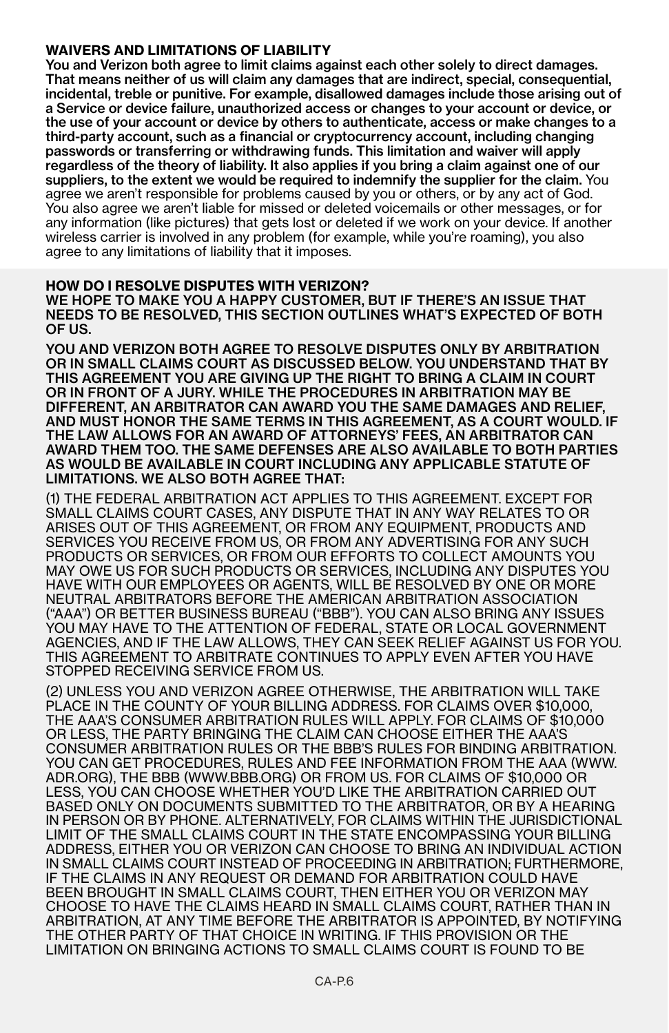## **WAIVERS AND LIMITATIONS OF LIABILITY**

You and Verizon both agree to limit claims against each other solely to direct damages. That means neither of us will claim any damages that are indirect, special, consequential, incidental, treble or punitive. For example, disallowed damages include those arising out of a Service or device failure, unauthorized access or changes to your account or device, or the use of your account or device by others to authenticate, access or make changes to a third-party account, such as a financial or cryptocurrency account, including changing passwords or transferring or withdrawing funds. This limitation and waiver will apply regardless of the theory of liability. It also applies if you bring a claim against one of our suppliers, to the extent we would be required to indemnify the supplier for the claim. You agree we aren't responsible for problems caused by you or others, or by any act of God. You also agree we aren't liable for missed or deleted voicemails or other messages, or for any information (like pictures) that gets lost or deleted if we work on your device. If another wireless carrier is involved in any problem (for example, while you're roaming), you also agree to any limitations of liability that it imposes.

#### **HOW DO I RESOLVE DISPUTES WITH VERIZON?**

WE HOPE TO MAKE YOU A HAPPY CUSTOMER, BUT IF THERE'S AN ISSUE THAT NEEDS TO BE RESOLVED, THIS SECTION OUTLINES WHAT'S EXPECTED OF BOTH OF US.

YOU AND VERIZON BOTH AGREE TO RESOLVE DISPUTES ONLY BY ARBITRATION OR IN SMALL CLAIMS COURT AS DISCUSSED BELOW. YOU UNDERSTAND THAT BY THIS AGREEMENT YOU ARE GIVING UP THE RIGHT TO BRING A CLAIM IN COURT OR IN FRONT OF A JURY. WHILE THE PROCEDURES IN ARBITRATION MAY BE DIFFERENT, AN ARBITRATOR CAN AWARD YOU THE SAME DAMAGES AND RELIEF, AND MUST HONOR THE SAME TERMS IN THIS AGREEMENT, AS A COURT WOULD. IF THE LAW ALLOWS FOR AN AWARD OF ATTORNEYS' FEES, AN ARBITRATOR CAN AWARD THEM TOO. THE SAME DEFENSES ARE ALSO AVAILABLE TO BOTH PARTIES AS WOULD BE AVAILABLE IN COURT INCLUDING ANY APPLICABLE STATUTE OF LIMITATIONS. WE ALSO BOTH AGREE THAT:

(1) THE FEDERAL ARBITRATION ACT APPLIES TO THIS AGREEMENT. EXCEPT FOR SMALL CLAIMS COURT CASES, ANY DISPUTE THAT IN ANY WAY RELATES TO OR ARISES OUT OF THIS AGREEMENT, OR FROM ANY EQUIPMENT, PRODUCTS AND SERVICES YOU RECEIVE FROM US, OR FROM ANY ADVERTISING FOR ANY SUCH PRODUCTS OR SERVICES, OR FROM OUR EFFORTS TO COLLECT AMOUNTS YOU MAY OWE US FOR SUCH PRODUCTS OR SERVICES, INCLUDING ANY DISPUTES YOU HAVE WITH OUR EMPLOYEES OR AGENTS, WILL BE RESOLVED BY ONE OR MORE NEUTRAL ARBITRATORS BEFORE THE AMERICAN ARBITRATION ASSOCIATION ("AAA") OR BETTER BUSINESS BUREAU ("BBB"). YOU CAN ALSO BRING ANY ISSUES YOU MAY HAVE TO THE ATTENTION OF FEDERAL, STATE OR LOCAL GOVERNMENT AGENCIES, AND IF THE LAW ALLOWS, THEY CAN SEEK RELIEF AGAINST US FOR YOU. THIS AGREEMENT TO ARBITRATE CONTINUES TO APPLY EVEN AFTER YOU HAVE STOPPED RECEIVING SERVICE FROM US.

(2) UNLESS YOU AND VERIZON AGREE OTHERWISE, THE ARBITRATION WILL TAKE PLACE IN THE COUNTY OF YOUR BILLING ADDRESS. FOR CLAIMS OVER \$10,000, THE AAA'S CONSUMER ARBITRATION RULES WILL APPLY. FOR CLAIMS OF \$10,000 OR LESS, THE PARTY BRINGING THE CLAIM CAN CHOOSE EITHER THE AAA'S CONSUMER ARBITRATION RULES OR THE BBB'S RULES FOR BINDING ARBITRATION. YOU CAN GET PROCEDURES, RULES AND FEE INFORMATION FROM THE AAA (WWW. ADR.ORG), THE BBB (WWW.BBB.ORG) OR FROM US. FOR CLAIMS OF \$10,000 OR LESS, YOU CAN CHOOSE WHETHER YOU'D LIKE THE ARBITRATION CARRIED OUT BASED ONLY ON DOCUMENTS SUBMITTED TO THE ARBITRATOR, OR BY A HEARING IN PERSON OR BY PHONE. ALTERNATIVELY, FOR CLAIMS WITHIN THE JURISDICTIONAL LIMIT OF THE SMALL CLAIMS COURT IN THE STATE ENCOMPASSING YOUR BILLING ADDRESS, EITHER YOU OR VERIZON CAN CHOOSE TO BRING AN INDIVIDUAL ACTION IN SMALL CLAIMS COURT INSTEAD OF PROCEEDING IN ARBITRATION; FURTHERMORE, IF THE CLAIMS IN ANY REQUEST OR DEMAND FOR ARBITRATION COULD HAVE BEEN BROUGHT IN SMALL CLAIMS COURT, THEN EITHER YOU OR VERIZON MAY CHOOSE TO HAVE THE CLAIMS HEARD IN SMALL CLAIMS COURT, RATHER THAN IN ARBITRATION, AT ANY TIME BEFORE THE ARBITRATOR IS APPOINTED, BY NOTIFYING THE OTHER PARTY OF THAT CHOICE IN WRITING. IF THIS PROVISION OR THE LIMITATION ON BRINGING ACTIONS TO SMALL CLAIMS COURT IS FOUND TO BE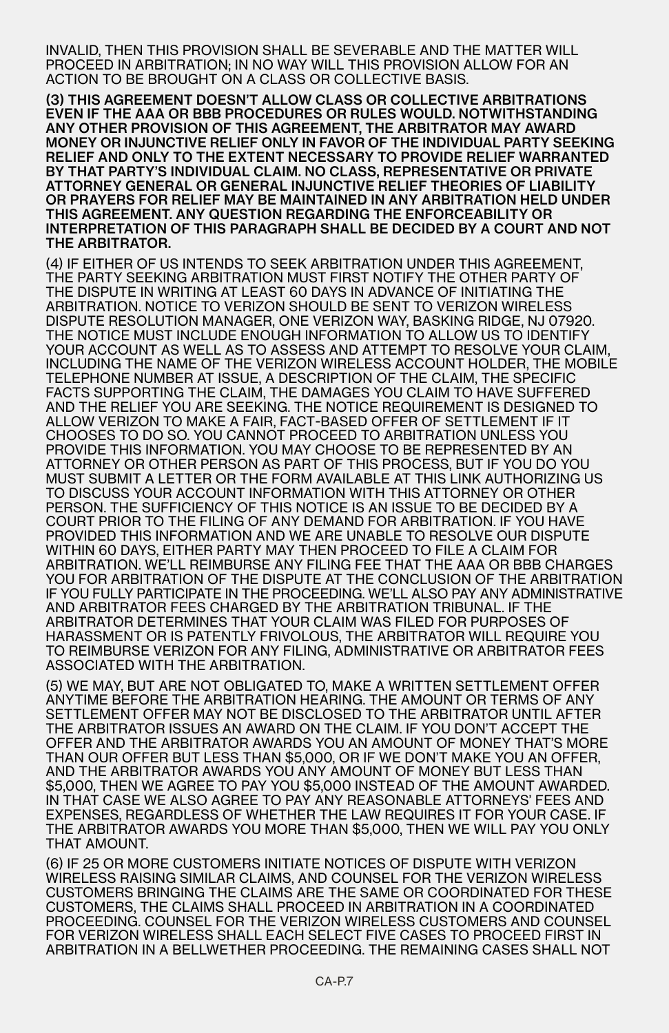INVALID, THEN THIS PROVISION SHALL BE SEVERABLE AND THE MATTER WILL PROCEED IN ARBITRATION; IN NO WAY WILL THIS PROVISION ALLOW FOR AN ACTION TO BE BROUGHT ON A CLASS OR COLLECTIVE BASIS.

(3) THIS AGREEMENT DOESN'T ALLOW CLASS OR COLLECTIVE ARBITRATIONS EVEN IF THE AAA OR BBB PROCEDURES OR RULES WOULD. NOTWITHSTANDING ANY OTHER PROVISION OF THIS AGREEMENT, THE ARBITRATOR MAY AWARD MONEY OR INJUNCTIVE RELIEF ONLY IN FAVOR OF THE INDIVIDUAL PARTY SEEKING RELIEF AND ONLY TO THE EXTENT NECESSARY TO PROVIDE RELIEF WARRANTED BY THAT PARTY'S INDIVIDUAL CLAIM. NO CLASS, REPRESENTATIVE OR PRIVATE ATTORNEY GENERAL OR GENERAL INJUNCTIVE RELIEF THEORIES OF LIABILITY OR PRAYERS FOR RELIEF MAY BE MAINTAINED IN ANY ARBITRATION HELD UNDER THIS AGREEMENT. ANY QUESTION REGARDING THE ENFORCEABILITY OR INTERPRETATION OF THIS PARAGRAPH SHALL BE DECIDED BY A COURT AND NOT THE ARBITRATOR.

(4) IF EITHER OF US INTENDS TO SEEK ARBITRATION UNDER THIS AGREEMENT, THE PARTY SEEKING ARBITRATION MUST FIRST NOTIFY THE OTHER PARTY OF THE DISPUTE IN WRITING AT LEAST 60 DAYS IN ADVANCE OF INITIATING THE ARBITRATION. NOTICE TO VERIZON SHOULD BE SENT TO VERIZON WIRELESS DISPUTE RESOLUTION MANAGER, ONE VERIZON WAY, BASKING RIDGE, NJ 07920. THE NOTICE MUST INCLUDE ENOUGH INFORMATION TO ALLOW US TO IDENTIFY YOUR ACCOUNT AS WELL AS TO ASSESS AND ATTEMPT TO RESOLVE YOUR CLAIM, INCLUDING THE NAME OF THE VERIZON WIRELESS ACCOUNT HOLDER, THE MOBILE TELEPHONE NUMBER AT ISSUE, A DESCRIPTION OF THE CLAIM, THE SPECIFIC FACTS SUPPORTING THE CLAIM, THE DAMAGES YOU CLAIM TO HAVE SUFFERED AND THE RELIEF YOU ARE SEEKING. THE NOTICE REQUIREMENT IS DESIGNED TO ALLOW VERIZON TO MAKE A FAIR, FACT-BASED OFFER OF SETTLEMENT IF IT CHOOSES TO DO SO. YOU CANNOT PROCEED TO ARBITRATION UNLESS YOU PROVIDE THIS INFORMATION. YOU MAY CHOOSE TO BE REPRESENTED BY AN ATTORNEY OR OTHER PERSON AS PART OF THIS PROCESS, BUT IF YOU DO YOU MUST SUBMIT A LETTER OR THE FORM AVAILABLE AT THIS LINK AUTHORIZING US TO DISCUSS YOUR ACCOUNT INFORMATION WITH THIS ATTORNEY OR OTHER PERSON. THE SUFFICIENCY OF THIS NOTICE IS AN ISSUE TO BE DECIDED BY A COURT PRIOR TO THE FILING OF ANY DEMAND FOR ARBITRATION. IF YOU HAVE PROVIDED THIS INFORMATION AND WE ARE UNABLE TO RESOLVE OUR DISPUTE WITHIN 60 DAYS, EITHER PARTY MAY THEN PROCEED TO FILE A CLAIM FOR ARBITRATION. WE'LL REIMBURSE ANY FILING FEE THAT THE AAA OR BBB CHARGES YOU FOR ARBITRATION OF THE DISPUTE AT THE CONCLUSION OF THE ARBITRATION IF YOU FULLY PARTICIPATE IN THE PROCEEDING. WE'LL ALSO PAY ANY ADMINISTRATIVE AND ARBITRATOR FEES CHARGED BY THE ARBITRATION TRIBUNAL. IF THE ARBITRATOR DETERMINES THAT YOUR CLAIM WAS FILED FOR PURPOSES OF HARASSMENT OR IS PATENTLY FRIVOLOUS, THE ARBITRATOR WILL REQUIRE YOU TO REIMBURSE VERIZON FOR ANY FILING, ADMINISTRATIVE OR ARBITRATOR FEES ASSOCIATED WITH THE ARBITRATION.

(5) WE MAY, BUT ARE NOT OBLIGATED TO, MAKE A WRITTEN SETTLEMENT OFFER ANYTIME BEFORE THE ARBITRATION HEARING. THE AMOUNT OR TERMS OF ANY SETTLEMENT OFFER MAY NOT BE DISCLOSED TO THE ARBITRATOR UNTIL AFTER THE ARBITRATOR ISSUES AN AWARD ON THE CLAIM. IF YOU DON'T ACCEPT THE OFFER AND THE ARBITRATOR AWARDS YOU AN AMOUNT OF MONEY THAT'S MORE THAN OUR OFFER BUT LESS THAN \$5,000, OR IF WE DON'T MAKE YOU AN OFFER, AND THE ARBITRATOR AWARDS YOU ANY AMOUNT OF MONEY BUT LESS THAN \$5,000, THEN WE AGREE TO PAY YOU \$5,000 INSTEAD OF THE AMOUNT AWARDED. IN THAT CASE WE ALSO AGREE TO PAY ANY REASONABLE ATTORNEYS' FEES AND EXPENSES, REGARDLESS OF WHETHER THE LAW REQUIRES IT FOR YOUR CASE. IF THE ARBITRATOR AWARDS YOU MORE THAN \$5,000, THEN WE WILL PAY YOU ONLY THAT AMOUNT.

(6) IF 25 OR MORE CUSTOMERS INITIATE NOTICES OF DISPUTE WITH VERIZON WIRELESS RAISING SIMILAR CLAIMS, AND COUNSEL FOR THE VERIZON WIRELESS CUSTOMERS BRINGING THE CLAIMS ARE THE SAME OR COORDINATED FOR THESE CUSTOMERS, THE CLAIMS SHALL PROCEED IN ARBITRATION IN A COORDINATED PROCEEDING. COUNSEL FOR THE VERIZON WIRELESS CUSTOMERS AND COUNSEL FOR VERIZON WIRELESS SHALL EACH SELECT FIVE CASES TO PROCEED FIRST IN ARBITRATION IN A BELLWETHER PROCEEDING. THE REMAINING CASES SHALL NOT